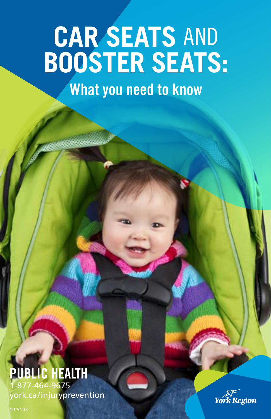# **CAR SEATS** AND **BOOSTER SEATS:**

What you need to know

### **IC HEALTH** 1-877-464-9675 york.ca/injuryprevention

**York Region** 

19-5103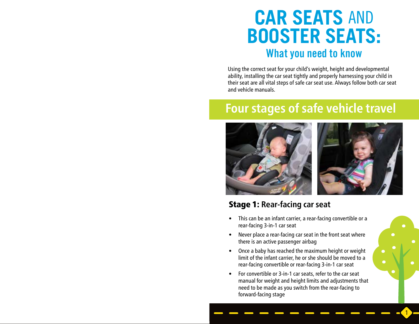# **CAR SEATS** AND **BOOSTER SEATS:** What you need to know

Using the correct seat for your child's weight, height and developmental ability, installing the car seat tightly and properly harnessing your child in their seat are all vital steps of safe car seat use. Always follow both car seat and vehicle manuals.

## **Four stages of safe vehicle travel**



### Stage 1: **Rear-facing car seat**

- This can be an infant carrier, a rear-facing convertible or a rear-facing 3-in-1 car seat
- Never place a rear-facing car seat in the front seat where there is an active passenger airbag
- Once a baby has reached the maximum height or weight limit of the infant carrier, he or she should be moved to a rear-facing convertible or rear-facing 3-in-1 car seat
- For convertible or 3-in-1 car seats, refer to the car seat manual for weight and height limits and adjustments that need to be made as you switch from the rear-facing to forward-facing stage

1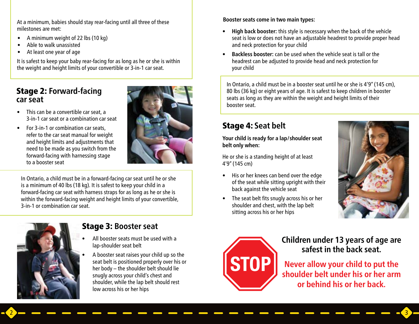At a minimum, babies should stay rear-facing until all three of these milestones are met:

- A minimum weight of 22 lbs (10 kg)
- Able to walk unassisted
- At least one year of age

It is safest to keep your baby rear-facing for as long as he or she is within the weight and height limits of your convertible or 3-in-1 car seat.

### Stage 2: **Forward-facing car seat**

- This can be a convertible car seat, a 3-in-1 car seat or a combination car seat
- For 3-in-1 or combination car seats, refer to the car seat manual for weight and height limits and adjustments that need to be made as you switch from the forward-facing with harnessing stage to a booster seat



In Ontario, a child must be in a forward-facing car seat until he or she is a minimum of 40 lbs (18 kg). It is safest to keep your child in a forward-facing car seat with harness straps for as long as he or she is within the forward-facing weight and height limits of your convertible, 3-in-1 or combination car seat.



### Stage 3: **Booster seat**

- All booster seats must be used with a lap-shoulder seat belt
- A booster seat raises your child up so the seat belt is positioned properly over his or her body – the shoulder belt should lie snugly across your child's chest and shoulder, while the lap belt should rest low across his or her hips

#### **Booster seats come in two main types:**

- **• High back booster:** this style is necessary when the back of the vehicle seat is low or does not have an adjustable headrest to provide proper head and neck protection for your child
- **• Backless booster:** can be used when the vehicle seat is tall or the headrest can be adjusted to provide head and neck protection for your child

In Ontario, a child must be in a booster seat until he or she is 4'9" (145 cm), 80 lbs (36 kg) or eight years of age. It is safest to keep children in booster seats as long as they are within the weight and height limits of their booster seat.

### Stage 4: **Seat belt**

**Your child is ready for a lap/shoulder seat belt only when:**

He or she is a standing height of at least 4'9" (145 cm)

- His or her knees can bend over the edge of the seat while sitting upright with their back against the vehicle seat
- The seat belt fits snugly across his or her shoulder and chest, with the lap belt sitting across his or her hips





 $2$  , and an and an and an and an and an and  $\sim$ 

**Children under 13 years of age are safest in the back seat.** 

**Never allow your child to put the shoulder belt under his or her arm or behind his or her back.**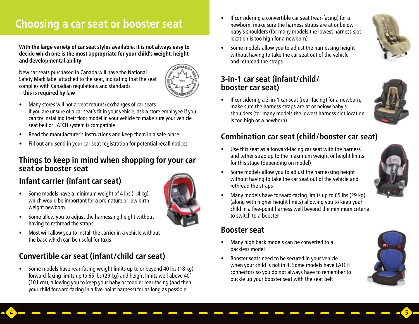# **Choosing a car seat or booster seat**  $\blacksquare$  • If considering a convertible car seat (rear-facing) for a **Choosing a** convertible car seat (rear-facing) for a

**With the large variety of car seat styles available, it is not always easy to decide which one is the most appropriate for your child's weight, height and developmental ability.**

New car seats purchased in Canada will have the National Safety Mark label attached to the seat, indicating that the seat complies with Canadian regulations and standards – **this is required by law**



- Many stores will not accept returns/exchanges of car seats. If you are unsure of a car seat's fit in your vehicle, ask a store employee if you can try installing their floor model in your vehicle to make sure your vehicle seat belt or LATCH system is compatible
- Read the manufacturer's instructions and keep them in a safe place
- Fill out and send in your car seat registration for potential recall notices

### **Things to keep in mind when shopping for your car seat or booster seat**

### **Infant carrier (infant car seat)**

• Some models have a minimum weight of 4 lbs (1.4 kg), which would be important for a premature or low birth weight newborn



 $4$  , and an and an and an and an and an and  $\overline{\bullet}$ 

- Some allow you to adjust the harnessing height without having to rethread the straps
- Most will allow you to install the carrier in a vehicle without the base which can be useful for taxis

### **Convertible car seat (infant/child car seat)**

• Some models have rear-facing weight limits up to or beyond 40 lbs (18 kg), forward-facing limits up to 65 lbs (29 kg) and height limits well above 40" (101 cm), allowing you to keep your baby or toddler rear-facing (and then your child forward-facing in a five-point harness) for as long as possible

newborn, make sure the harness straps are at or below baby's shoulders (for many models the lowest harness slot location is too high for a newborn)



• Some models allow you to adjust the harnessing height without having to take the car seat out of the vehicle and rethread the straps

### **3-in-1 car seat (infant/child/ booster car seat)**

• If considering a 3-in-1 car seat (rear-facing) for a newborn, make sure the harness straps are at or below baby's shoulders (for many models the lowest harness slot location is too high or a newborn)



### **Combination car seat (child/booster car seat)**

• Use this seat as a forward-facing car seat with the harness and tether strap up to the maximum weight or height limits for this stage (depending on model)



- Some models allow you to adjust the harnessing height without having to take the car seat out of the vehicle and rethread the straps
- Many models have forward-facing limits up to 65 lbs (29 kg) (along with higher height limits) allowing you to keep your child in a five-point harness well beyond the minimum criteria to switch to a booster

### **Booster seat**

- Many high back models can be converted to a backless model
- Booster seats need to be secured in your vehicle when your child is not in it. Some models have LATCH connectors so you do not always have to remember to buckle up your booster seat with the seat belt

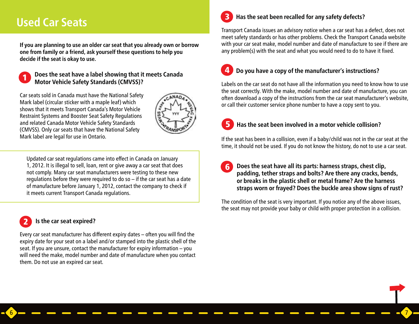### **Used Car Seats**

**If you are planning to use an older car seat that you already own or borrow one from family or a friend, ask yourself these questions to help you decide if the seat is okay to use.**



**Does the seat have a label showing that it meets Canada Motor Vehicle Safety Standards (CMVSS)?** 

Car seats sold in Canada must have the National Safety Mark label (circular sticker with a maple leaf) which shows that it meets Transport Canada's Motor Vehicle Restraint Systems and Booster Seat Safety Regulations and related Canada Motor Vehicle Safety Standards (CMVSS). Only car seats that have the National Safety Mark label are legal for use in Ontario.



 $6$  , and an and an and an and an and an and  $\sim$ 

Updated car seat regulations came into effect in Canada on January 1, 2012. It is illegal to sell, loan, rent or give away a car seat that does not comply. Many car seat manufacturers were testing to these new regulations before they were required to do so – if the car seat has a date of manufacture before January 1, 2012, contact the company to check if it meets current Transport Canada regulations.

#### **Is the car seat expired?** 2

Every car seat manufacturer has different expiry dates – often you will find the expiry date for your seat on a label and/or stamped into the plastic shell of the seat. If you are unsure, contact the manufacturer for expiry information – you will need the make, model number and date of manufacture when you contact them. Do not use an expired car seat.

#### **Has the seat been recalled for any safety defects?** 3

Transport Canada issues an advisory notice when a car seat has a defect, does not meet safety standards or has other problems. Check the Transport Canada website with your car seat make, model number and date of manufacture to see if there are any problem(s) with the seat and what you would need to do to have it fixed.

#### **Do you have a copy of the manufacturer's instructions?** 4

Labels on the car seat do not have all the information you need to know how to use the seat correctly. With the make, model number and date of manufacture, you can often download a copy of the instructions from the car seat manufacturer's website, or call their customer service phone number to have a copy sent to you.

#### **Has the seat been involved in a motor vehicle collision?** 5

If the seat has been in a collision, even if a baby/child was not in the car seat at the time, it should not be used. If you do not know the history, do not to use a car seat.

**Does the seat have all its parts: harness straps, chest clip, padding, tether straps and bolts? Are there any cracks, bends, or breaks in the plastic shell or metal frame? Are the harness straps worn or frayed? Does the buckle area show signs of rust?**  6

The condition of the seat is very important. If you notice any of the above issues, the seat may not provide your baby or child with proper protection in a collision.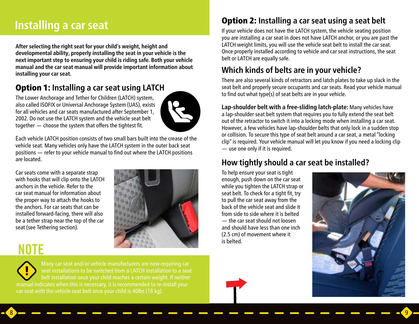### **Installing a car seat**

**After selecting the right seat for your child's weight, height and developmental ability, properly installing the seat in your vehicle is the next important step to ensuring your child is riding safe. Both your vehicle manual and the car seat manual will provide important information about installing your car seat.**

### Option 1: **Installing a car seat using LATCH**

The Lower Anchorage and Tether for Children (LATCH) system, also called ISOFIX or Universal Anchorage System (UAS), exists for all vehicles and car seats manufactured after September 1, 2002. Do not use the LATCH system and the vehicle seat belt together — choose the system that offers the tightest fit.



Each vehicle LATCH position consists of two small bars built into the crease of the vehicle seat. Many vehicles only have the LATCH system in the outer back seat positions — refer to your vehicle manual to find out where the LATCH positions are located.

Car seats come with a separate strap with hooks that will clip onto the LATCH anchors in the vehicle. Refer to the car seat manual for information about the proper way to attach the hooks to the anchors. For car seats that can be installed forward-facing, there will also be a tether strap near the top of the car seat (see Tethering section).



# NOTE

Many car seat and/or vehicle manufacturers are now requiring car seat installations to be switched from a LATCH installation to a seat belt installation once your child reaches a certain weight. If neither manual indicates when this is necessary, it is recommended to re-install your car seat with the vehicle seat belt once your child is 40lbs (18 kg).

### Option 2: **Installing a car seat using a seat belt**

If your vehicle does not have the LATCH system, the vehicle seating position you are installing a car seat in does not have LATCH anchor, or you are past the LATCH weight limits, you will use the vehicle seat belt to install the car seat. Once properly installed according to vehicle and car seat instructions, the seat belt or LATCH are equally safe.

### **Which kinds of belts are in your vehicle?**

There are also several kinds of retractors and latch plates to take up slack in the seat belt and properly secure occupants and car seats. Read your vehicle manual to find out what type(s) of seat belts are in your vehicle.

**Lap-shoulder belt with a free-sliding latch-plate:** Many vehicles have a lap-shoulder seat belt system that requires you to fully extend the seat belt out of the retractor to switch it into a locking mode when installing a car seat. However, a few vehicles have lap-shoulder belts that only lock in a sudden stop or collision. To secure this type of seat belt around a car seat, a metal "locking clip" is required. Your vehicle manual will let you know if you need a locking clip — use one only if it is required.

### **How tightly should a car seat be installed?**

To help ensure your seat is tight enough, push down on the car seat while you tighten the LATCH strap or seat belt. To check for a tight fit, try to pull the car seat away from the back of the vehicle seat and slide it from side to side where it is belted — the car seat should not loosen and should have less than one inch (2.5 cm) of movement where it is belted.





 $8$  , and an and an and an and an and an and  $\sim$   $\sim$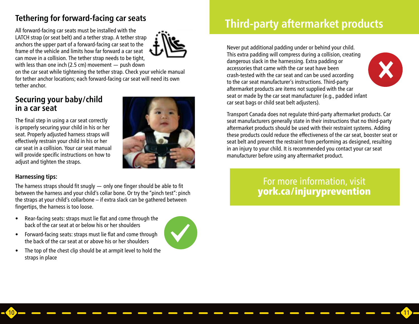### **Tethering for forward-facing car seats**

All forward-facing car seats must be installed with the LATCH strap (or seat belt) and a tether strap. A tether strap anchors the upper part of a forward-facing car seat to the frame of the vehicle and limits how far forward a car seat can move in a collision. The tether strap needs to be tight, with less than one inch (2.5 cm) movement — push down



on the car seat while tightening the tether strap. Check your vehicle manual for tether anchor locations; each forward-facing car seat will need its own tether anchor.

### **Securing your baby/child in a car seat**

The final step in using a car seat correctly is properly securing your child in his or her seat. Properly adjusted harness straps will effectively restrain your child in his or her car seat in a collision. Your car seat manual will provide specific instructions on how to adjust and tighten the straps.



#### **Harnessing tips:**

The harness straps should fit snugly — only one finger should be able to fit between the harness and your child's collar bone. Or try the "pinch test": pinch the straps at your child's collarbone – if extra slack can be gathered between fingertips, the harness is too loose.

- Rear-facing seats: straps must lie flat and come through the back of the car seat at or below his or her shoulders
- Forward-facing seats: straps must lie flat and come through the back of the car seat at or above his or her shoulders
- The top of the chest clip should be at armpit level to hold the straps in place



10 11

# **Third-party aftermarket products**

Never put additional padding under or behind your child. This extra padding will compress during a collision, creating dangerous slack in the harnessing. Extra padding or accessories that came with the car seat have been crash-tested with the car seat and can be used according to the car seat manufacturer's instructions. Third-party aftermarket products are items not supplied with the car seat or made by the car seat manufacturer (e.g., padded infant car seat bags or child seat belt adjusters).



Transport Canada does not regulate third-party aftermarket products. Car seat manufacturers generally state in their instructions that no third-party aftermarket products should be used with their restraint systems. Adding these products could reduce the effectiveness of the car seat, booster seat or seat belt and prevent the restraint from performing as designed, resulting in an injury to your child. It is recommended you contact your car seat manufacturer before using any aftermarket product.

### For more information, visit york.ca/injuryprevention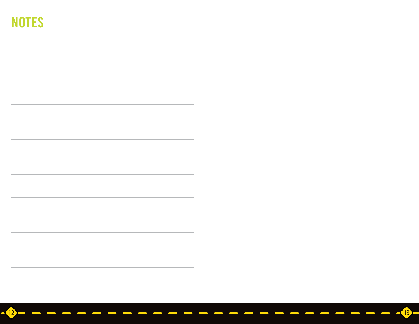# **NOTES**

 $\overline{12}$   $\overline{ }$   $\overline{ }$   $\overline{ }$   $\overline{ }$   $\overline{ }$   $\overline{ }$   $\overline{ }$   $\overline{ }$   $\overline{ }$   $\overline{ }$   $\overline{ }$   $\overline{ }$   $\overline{ }$   $\overline{ }$   $\overline{ }$   $\overline{ }$   $\overline{ }$   $\overline{ }$   $\overline{ }$   $\overline{ }$   $\overline{ }$   $\overline{ }$   $\overline{ }$   $\overline{ }$   $\overline{ }$   $\overline{ }$   $\over$